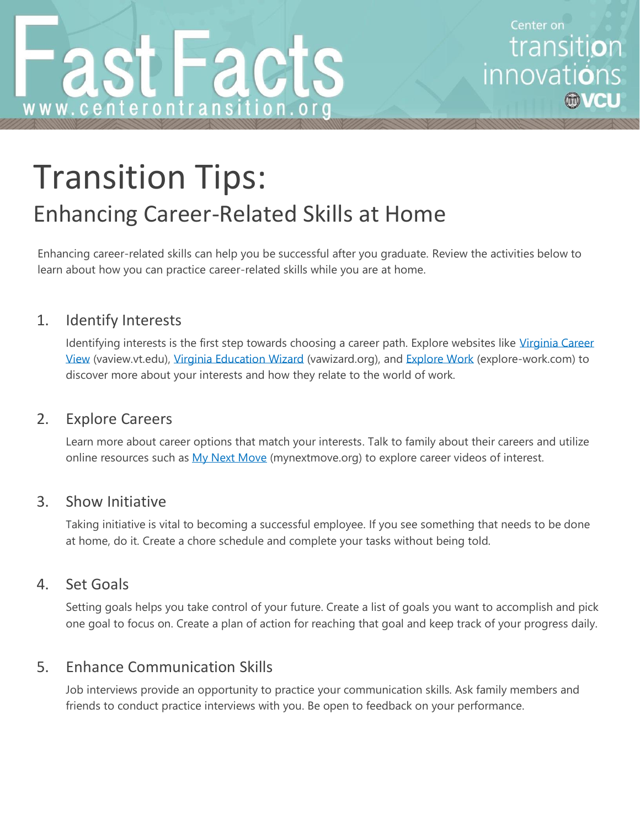Center on transiti**o**n innovations

# Transition Tips: Enhancing Career-Related Skills at Home

Enhancing career-related skills can help you be successful after you graduate. Review the activities below to learn about how you can practice career-related skills while you are at home.

# 1. Identify Interests

Identifying interests is the first step towards choosing a career path. Explore websites like Virginia Career [View](https://www.vaview.vt.edu/) (vaview.vt.edu), [Virginia Education Wizard](https://www.vawizard.org/wizard/home) (vawizard.org), and [Explore Work](https://explore-work.com/) [\(explore-work.com\)](https://explore-work.com/) to discover more about your interests and how they relate to the world of work.

#### 2. Explore Careers

Learn more about career options that match your interests. Talk to family about their careers and utilize online resources such as [My Next Move](https://www.mynextmove.org/) (mynextmove.org) to explore career videos of interest.

#### 3. Show Initiative

Taking initiative is vital to becoming a successful employee. If you see something that needs to be done at home, do it. Create a chore schedule and complete your tasks without being told.

#### 4. Set Goals

Setting goals helps you take control of your future. Create a list of goals you want to accomplish and pick one goal to focus on. Create a plan of action for reaching that goal and keep track of your progress daily.

# 5. Enhance Communication Skills

Job interviews provide an opportunity to practice your communication skills. Ask family members and friends to conduct practice interviews with you. Be open to feedback on your performance.